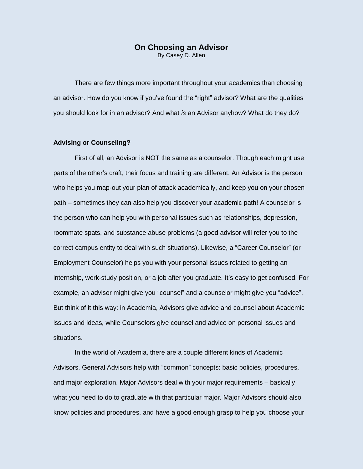# **On Choosing an Advisor**

By Casey D. Allen

There are few things more important throughout your academics than choosing an advisor. How do you know if you've found the "right" advisor? What are the qualities you should look for in an advisor? And what *is* an Advisor anyhow? What do they do?

### **Advising or Counseling?**

First of all, an Advisor is NOT the same as a counselor. Though each might use parts of the other's craft, their focus and training are different. An Advisor is the person who helps you map-out your plan of attack academically, and keep you on your chosen path – sometimes they can also help you discover your academic path! A counselor is the person who can help you with personal issues such as relationships, depression, roommate spats, and substance abuse problems (a good advisor will refer you to the correct campus entity to deal with such situations). Likewise, a "Career Counselor" (or Employment Counselor) helps you with your personal issues related to getting an internship, work-study position, or a job after you graduate. It's easy to get confused. For example, an advisor might give you "counsel" and a counselor might give you "advice". But think of it this way: in Academia, Advisors give advice and counsel about Academic issues and ideas, while Counselors give counsel and advice on personal issues and situations.

In the world of Academia, there are a couple different kinds of Academic Advisors. General Advisors help with "common" concepts: basic policies, procedures, and major exploration. Major Advisors deal with your major requirements – basically what you need to do to graduate with that particular major. Major Advisors should also know policies and procedures, and have a good enough grasp to help you choose your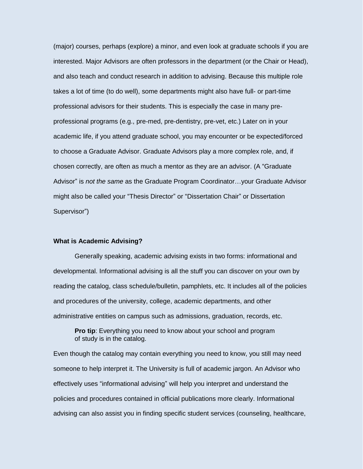(major) courses, perhaps (explore) a minor, and even look at graduate schools if you are interested. Major Advisors are often professors in the department (or the Chair or Head), and also teach and conduct research in addition to advising. Because this multiple role takes a lot of time (to do well), some departments might also have full- or part-time professional advisors for their students. This is especially the case in many preprofessional programs (e.g., pre-med, pre-dentistry, pre-vet, etc.) Later on in your academic life, if you attend graduate school, you may encounter or be expected/forced to choose a Graduate Advisor. Graduate Advisors play a more complex role, and, if chosen correctly, are often as much a mentor as they are an advisor. (A "Graduate Advisor" is *not the same* as the Graduate Program Coordinator…your Graduate Advisor might also be called your "Thesis Director" or "Dissertation Chair" or Dissertation Supervisor")

## **What is Academic Advising?**

Generally speaking, academic advising exists in two forms: informational and developmental. Informational advising is all the stuff you can discover on your own by reading the catalog, class schedule/bulletin, pamphlets, etc. It includes all of the policies and procedures of the university, college, academic departments, and other administrative entities on campus such as admissions, graduation, records, etc.

**Pro tip:** Everything you need to know about your school and program of study is in the catalog.

Even though the catalog may contain everything you need to know, you still may need someone to help interpret it. The University is full of academic jargon. An Advisor who effectively uses "informational advising" will help you interpret and understand the policies and procedures contained in official publications more clearly. Informational advising can also assist you in finding specific student services (counseling, healthcare,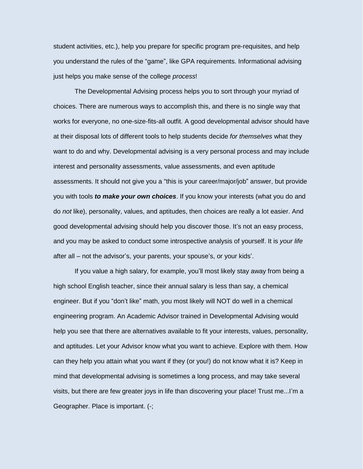student activities, etc.), help you prepare for specific program pre-requisites, and help you understand the rules of the "game", like GPA requirements. Informational advising just helps you make sense of the college *process*!

The Developmental Advising process helps you to sort through your myriad of choices. There are numerous ways to accomplish this, and there is no single way that works for everyone, no one-size-fits-all outfit. A good developmental advisor should have at their disposal lots of different tools to help students decide *for themselves* what they want to do and why. Developmental advising is a very personal process and may include interest and personality assessments, value assessments, and even aptitude assessments. It should not give you a "this is your career/major/job" answer, but provide you with tools *to make your own choices*. If you know your interests (what you do and do *not* like), personality, values, and aptitudes, then choices are really a lot easier. And good developmental advising should help you discover those. It's not an easy process, and you may be asked to conduct some introspective analysis of yourself. It is *your life* after all – not the advisor's, your parents, your spouse's, or your kids'.

If you value a high salary, for example, you'll most likely stay away from being a high school English teacher, since their annual salary is less than say, a chemical engineer. But if you "don't like" math, you most likely will NOT do well in a chemical engineering program. An Academic Advisor trained in Developmental Advising would help you see that there are alternatives available to fit your interests, values, personality, and aptitudes. Let your Advisor know what you want to achieve. Explore with them. How can they help you attain what you want if they (or you!) do not know what it is? Keep in mind that developmental advising is sometimes a long process, and may take several visits, but there are few greater joys in life than discovering your place! Trust me...I'm a Geographer. Place is important. (-;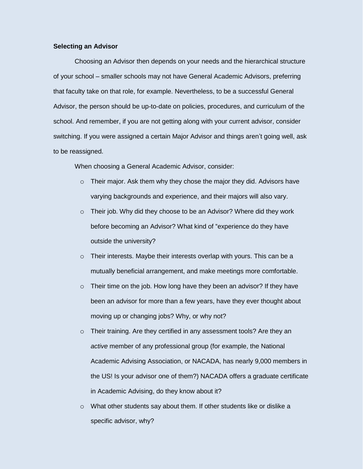#### **Selecting an Advisor**

Choosing an Advisor then depends on your needs and the hierarchical structure of your school – smaller schools may not have General Academic Advisors, preferring that faculty take on that role, for example. Nevertheless, to be a successful General Advisor, the person should be up-to-date on policies, procedures, and curriculum of the school. And remember, if you are not getting along with your current advisor, consider switching. If you were assigned a certain Major Advisor and things aren't going well, ask to be reassigned.

When choosing a General Academic Advisor, consider:

- o Their major. Ask them why they chose the major they did. Advisors have varying backgrounds and experience, and their majors will also vary.
- o Their job. Why did they choose to be an Advisor? Where did they work before becoming an Advisor? What kind of "experience do they have outside the university?
- o Their interests. Maybe their interests overlap with yours. This can be a mutually beneficial arrangement, and make meetings more comfortable.
- o Their time on the job. How long have they been an advisor? If they have been an advisor for more than a few years, have they ever thought about moving up or changing jobs? Why, or why not?
- o Their training. Are they certified in any assessment tools? Are they an *active* member of any professional group (for example, the National Academic Advising Association, or NACADA, has nearly 9,000 members in the US! Is your advisor one of them?) NACADA offers a graduate certificate in Academic Advising, do they know about it?
- $\circ$  What other students say about them. If other students like or dislike a specific advisor, why?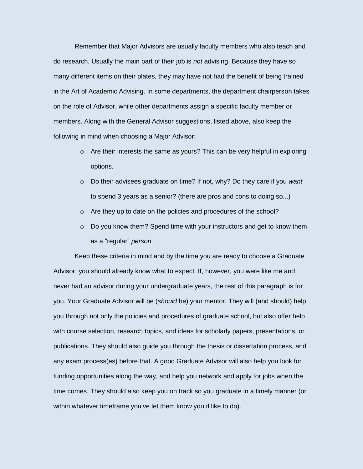Remember that Major Advisors are usually faculty members who also teach and do research. Usually the main part of their job is *not* advising. Because they have so many different items on their plates, they may have not had the benefit of being trained in the Art of Academic Advising. In some departments, the department chairperson takes on the role of Advisor, while other departments assign a specific faculty member or members. Along with the General Advisor suggestions, listed above, also keep the following in mind when choosing a Major Advisor:

- $\circ$  Are their interests the same as yours? This can be very helpful in exploring options.
- o Do their advisees graduate on time? If not, why? Do they care if you *want* to spend 3 years as a senior? (there are pros and cons to doing so...)
- o Are they up to date on the policies and procedures of the school?
- $\circ$  Do you know them? Spend time with your instructors and get to know them as a "regular" *person*.

Keep these criteria in mind and by the time you are ready to choose a Graduate Advisor, you should already know what to expect. If, however, you were like me and never had an advisor during your undergraduate years, the rest of this paragraph is for you. Your Graduate Advisor will be (*should* be) your mentor. They will (and should) help you through not only the policies and procedures of graduate school, but also offer help with course selection, research topics, and ideas for scholarly papers, presentations, or publications. They should also guide you through the thesis or dissertation process, and any exam process(es) before that. A good Graduate Advisor will also help you look for funding opportunities along the way, and help you network and apply for jobs when the time comes. They should also keep you on track so you graduate in a timely manner (or within whatever timeframe you've let them know you'd like to do).